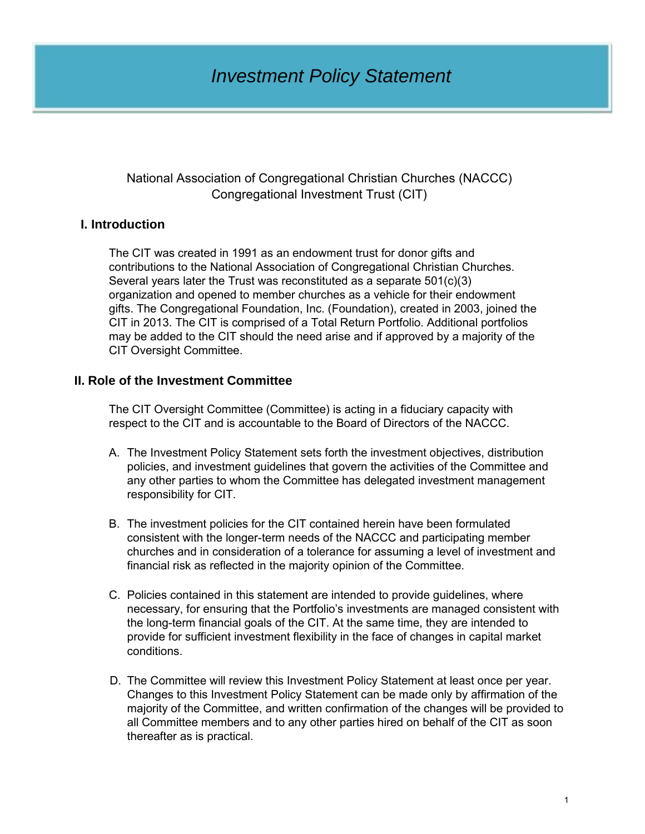# *Investment Policy Statement*

### National Association of Congregational Christian Churches (NACCC) Congregational Investment Trust (CIT)

# **I. Introduction**

The CIT was created in 1991 as an endowment trust for donor gifts and contributions to the National Association of Congregational Christian Churches. Several years later the Trust was reconstituted as a separate 501(c)(3) organization and opened to member churches as a vehicle for their endowment gifts. The Congregational Foundation, Inc. (Foundation), created in 2003, joined the CIT in 2013. The CIT is comprised of a Total Return Portfolio. Additional portfolios may be added to the CIT should the need arise and if approved by a majority of the CIT Oversight Committee.

# **II. Role of the Investment Committee**

The CIT Oversight Committee (Committee) is acting in a fiduciary capacity with respect to the CIT and is accountable to the Board of Directors of the NACCC.

- A. The Investment Policy Statement sets forth the investment objectives, distribution policies, and investment guidelines that govern the activities of the Committee and any other parties to whom the Committee has delegated investment management responsibility for CIT.
- B. The investment policies for the CIT contained herein have been formulated consistent with the longer-term needs of the NACCC and participating member churches and in consideration of a tolerance for assuming a level of investment and financial risk as reflected in the majority opinion of the Committee.
- C. Policies contained in this statement are intended to provide guidelines, where necessary, for ensuring that the Portfolio's investments are managed consistent with the long-term financial goals of the CIT. At the same time, they are intended to provide for sufficient investment flexibility in the face of changes in capital market conditions.
- D. The Committee will review this Investment Policy Statement at least once per year. Changes to this Investment Policy Statement can be made only by affirmation of the majority of the Committee, and written confirmation of the changes will be provided to all Committee members and to any other parties hired on behalf of the CIT as soon thereafter as is practical.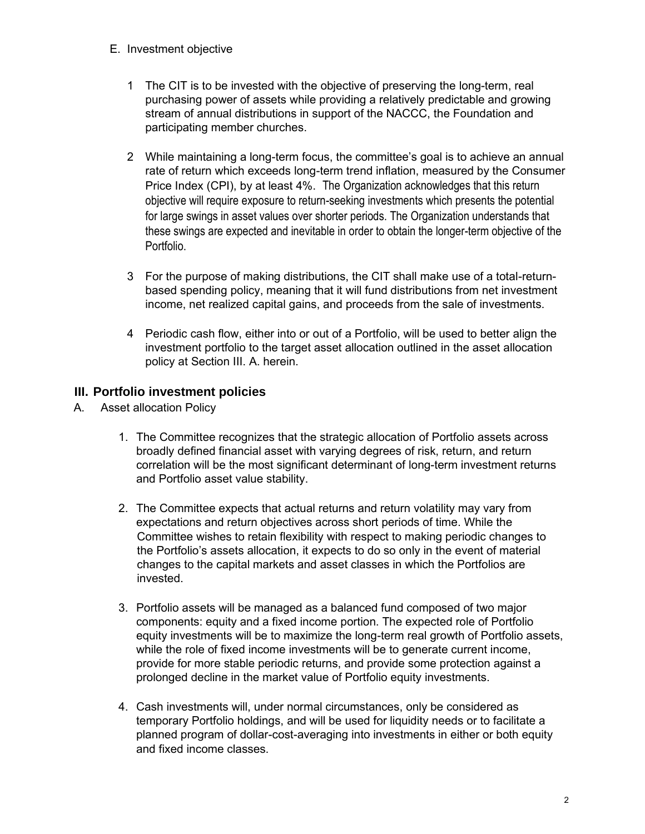- E. Investment objective
	- The CIT is to be invested with the objective of preserving the long-term, real purchasing power of assets while providing a relatively predictable and growing stream of annual distributions in support of the NACCC, the Foundation and participating member churches.
	- 2 While maintaining a long-term focus, the committee's goal is to achieve an annual rate of return which exceeds long-term trend inflation, measured by the Consumer Price Index (CPI), by at least 4%. The Organization acknowledges that this return objective will require exposure to return-seeking investments which presents the potential for large swings in asset values over shorter periods. The Organization understands that these swings are expected and inevitable in order to obtain the longer-term objective of the Portfolio.
	- 3 For the purpose of making distributions, the CIT shall make use of a total-returnbased spending policy, meaning that it will fund distributions from net investment income, net realized capital gains, and proceeds from the sale of investments.
	- 4 Periodic cash flow, either into or out of a Portfolio, will be used to better align the investment portfolio to the target asset allocation outlined in the asset allocation policy at Section III. A. herein.

# **III. Portfolio investment policies**

- A. Asset allocation Policy
	- 1. The Committee recognizes that the strategic allocation of Portfolio assets across broadly defined financial asset with varying degrees of risk, return, and return correlation will be the most significant determinant of long-term investment returns and Portfolio asset value stability.
	- 2. The Committee expects that actual returns and return volatility may vary from expectations and return objectives across short periods of time. While the Committee wishes to retain flexibility with respect to making periodic changes to the Portfolio's assets allocation, it expects to do so only in the event of material changes to the capital markets and asset classes in which the Portfolios are invested.
	- 3. Portfolio assets will be managed as a balanced fund composed of two major components: equity and a fixed income portion. The expected role of Portfolio equity investments will be to maximize the long-term real growth of Portfolio assets, while the role of fixed income investments will be to generate current income, provide for more stable periodic returns, and provide some protection against a prolonged decline in the market value of Portfolio equity investments.
	- 4. Cash investments will, under normal circumstances, only be considered as temporary Portfolio holdings, and will be used for liquidity needs or to facilitate a planned program of dollar-cost-averaging into investments in either or both equity and fixed income classes.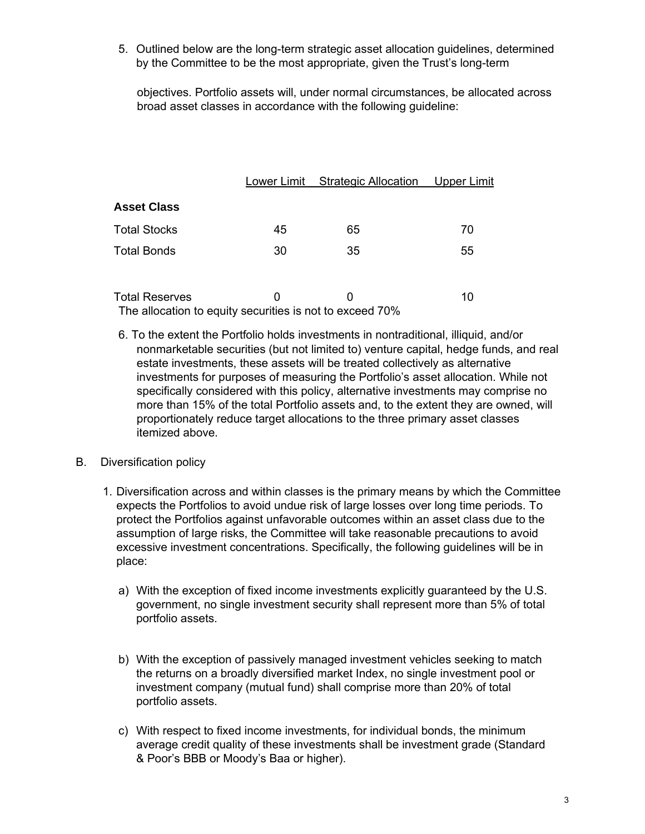5. Outlined below are the long-term strategic asset allocation guidelines, determined by the Committee to be the most appropriate, given the Trust's long-term

objectives. Portfolio assets will, under normal circumstances, be allocated across broad asset classes in accordance with the following guideline:

|                       | Lower Limit | <b>Strategic Allocation</b> | Upper Limit |
|-----------------------|-------------|-----------------------------|-------------|
| <b>Asset Class</b>    |             |                             |             |
| <b>Total Stocks</b>   | 45          | 65                          | 70          |
| <b>Total Bonds</b>    | 30          | 35                          | 55          |
|                       |             |                             |             |
| <b>Total Reserves</b> | 0           |                             | 10          |

The allocation to equity securities is not to exceed 70%

6. To the extent the Portfolio holds investments in nontraditional, illiquid, and/or nonmarketable securities (but not limited to) venture capital, hedge funds, and real estate investments, these assets will be treated collectively as alternative investments for purposes of measuring the Portfolio's asset allocation. While not specifically considered with this policy, alternative investments may comprise no more than 15% of the total Portfolio assets and, to the extent they are owned, will proportionately reduce target allocations to the three primary asset classes itemized above.

#### B. Diversification policy

- 1. Diversification across and within classes is the primary means by which the Committee expects the Portfolios to avoid undue risk of large losses over long time periods. To protect the Portfolios against unfavorable outcomes within an asset class due to the assumption of large risks, the Committee will take reasonable precautions to avoid excessive investment concentrations. Specifically, the following guidelines will be in place:
	- a) With the exception of fixed income investments explicitly guaranteed by the U.S. government, no single investment security shall represent more than 5% of total portfolio assets.
	- b) With the exception of passively managed investment vehicles seeking to match the returns on a broadly diversified market Index, no single investment pool or investment company (mutual fund) shall comprise more than 20% of total portfolio assets.
	- c) With respect to fixed income investments, for individual bonds, the minimum average credit quality of these investments shall be investment grade (Standard & Poor's BBB or Moody's Baa or higher).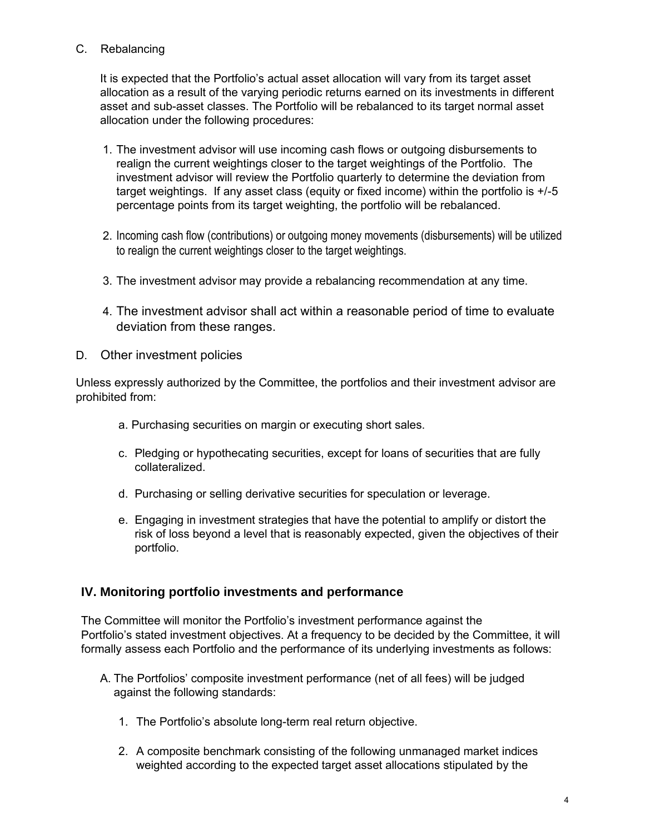# C. Rebalancing

It is expected that the Portfolio's actual asset allocation will vary from its target asset allocation as a result of the varying periodic returns earned on its investments in different asset and sub-asset classes. The Portfolio will be rebalanced to its target normal asset allocation under the following procedures:

- 1. The investment advisor will use incoming cash flows or outgoing disbursements to realign the current weightings closer to the target weightings of the Portfolio. The investment advisor will review the Portfolio quarterly to determine the deviation from target weightings. If any asset class (equity or fixed income) within the portfolio is +/-5 percentage points from its target weighting, the portfolio will be rebalanced.
- 2. Incoming cash flow (contributions) or outgoing money movements (disbursements) will be utilized to realign the current weightings closer to the target weightings.
- 3. The investment advisor may provide a rebalancing recommendation at any time.
- 4. The investment advisor shall act within a reasonable period of time to evaluate deviation from these ranges.
- D. Other investment policies

Unless expressly authorized by the Committee, the portfolios and their investment advisor are prohibited from:

- a. Purchasing securities on margin or executing short sales.
- c. Pledging or hypothecating securities, except for loans of securities that are fully collateralized.
- d. Purchasing or selling derivative securities for speculation or leverage.
- e. Engaging in investment strategies that have the potential to amplify or distort the risk of loss beyond a level that is reasonably expected, given the objectives of their portfolio.

# **IV. Monitoring portfolio investments and performance**

The Committee will monitor the Portfolio's investment performance against the Portfolio's stated investment objectives. At a frequency to be decided by the Committee, it will formally assess each Portfolio and the performance of its underlying investments as follows:

- A. The Portfolios' composite investment performance (net of all fees) will be judged against the following standards:
	- 1. The Portfolio's absolute long-term real return objective.
	- 2. A composite benchmark consisting of the following unmanaged market indices weighted according to the expected target asset allocations stipulated by the